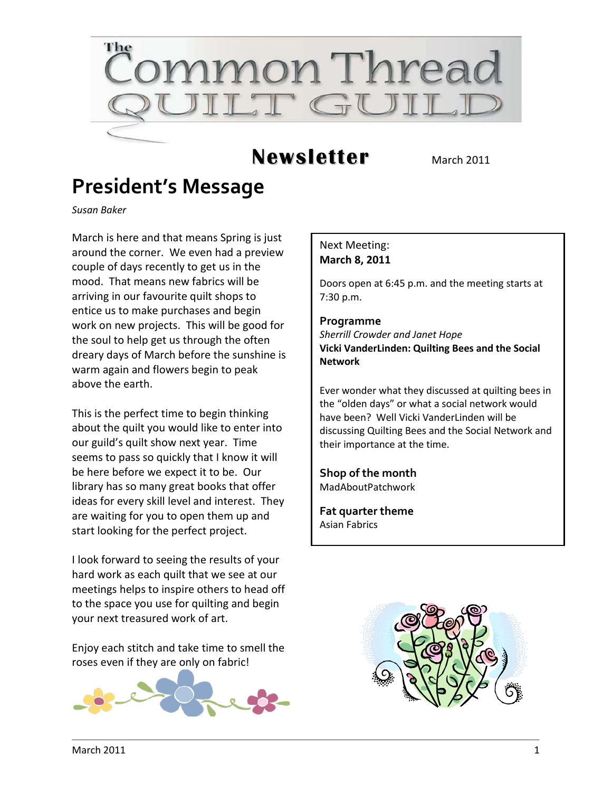

## **Newsletter** March 2011

## **President's Message**

*Susan Baker*

March is here and that means Spring is just around the corner. We even had a preview couple of days recently to get us in the mood. That means new fabrics will be arriving in our favourite quilt shops to entice us to make purchases and begin work on new projects. This will be good for the soul to help get us through the often dreary days of March before the sunshine is warm again and flowers begin to peak above the earth.

This is the perfect time to begin thinking about the quilt you would like to enter into our guild's quilt show next year. Time seems to pass so quickly that I know it will be here before we expect it to be. Our library has so many great books that offer ideas for every skill level and interest. They are waiting for you to open them up and start looking for the perfect project.

I look forward to seeing the results of your hard work as each quilt that we see at our meetings helps to inspire others to head off to the space you use for quilting and begin your next treasured work of art.

Enjoy each stitch and take time to smell the roses even if they are only on fabric!



#### Next Meeting: **March 8, 2011**

Doors open at 6:45 p.m. and the meeting starts at 7:30 p.m.

#### **Programme**

*Sherrill Crowder and Janet Hope* **Vicki VanderLinden: Quilting Bees and the Social Network**

Ever wonder what they discussed at quilting bees in the "olden days" or what a social network would have been? Well Vicki VanderLinden will be discussing Quilting Bees and the Social Network and their importance at the time.

**Shop of the month** MadAboutPatchwork

**Fat quarter theme** Asian Fabrics

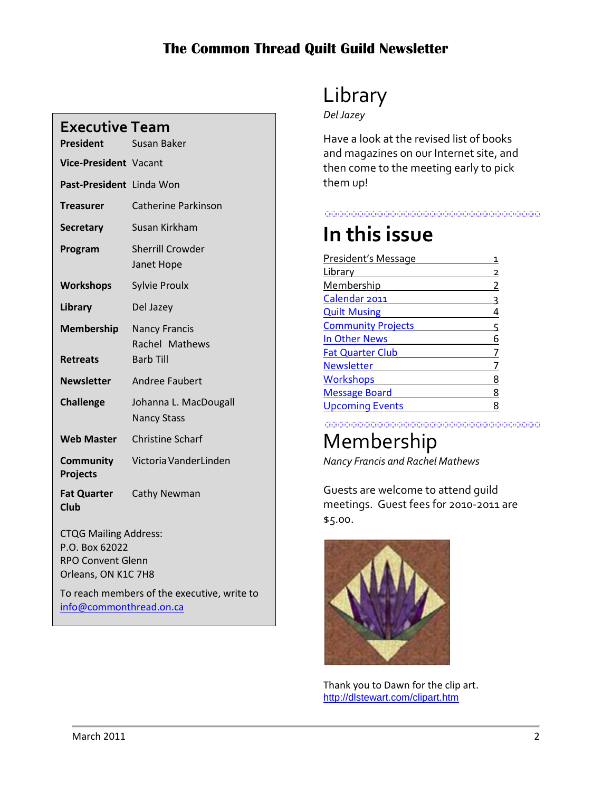| <b>Executive Team</b><br><b>President</b>                                                         | Susan Baker                                                |  |
|---------------------------------------------------------------------------------------------------|------------------------------------------------------------|--|
| Vice-President Vacant                                                                             |                                                            |  |
| Past-President Linda Won                                                                          |                                                            |  |
| <b>Treasurer</b>                                                                                  | <b>Catherine Parkinson</b>                                 |  |
| <b>Secretary</b>                                                                                  | Susan Kirkham                                              |  |
| Program                                                                                           | <b>Sherrill Crowder</b><br>Janet Hope                      |  |
| <b>Workshops</b>                                                                                  | <b>Sylvie Proulx</b>                                       |  |
| Library                                                                                           | Del Jazey                                                  |  |
| <b>Membership</b><br><b>Retreats</b>                                                              | <b>Nancy Francis</b><br>Rachel Mathews<br><b>Barb Till</b> |  |
| <b>Newsletter</b>                                                                                 | <b>Andree Faubert</b>                                      |  |
| <b>Challenge</b>                                                                                  | Johanna L. MacDougall<br><b>Nancy Stass</b>                |  |
| <b>Web Master</b>                                                                                 | <b>Christine Scharf</b>                                    |  |
| Community<br><b>Projects</b>                                                                      | Victoria VanderLinden                                      |  |
| <b>Fat Quarter</b><br><b>Club</b>                                                                 | <b>Cathy Newman</b>                                        |  |
| <b>CTQG Mailing Address:</b><br>P.O. Box 62022<br><b>RPO Convent Glenn</b><br>Orleans, ON K1C 7H8 |                                                            |  |

To reach members of the executive, write to [info@commonthread.on.ca](mailto:info@commonthread.on.ca)

## Library

*Del Jazey*

Have a look at the revised list of books and magazines on our Internet site, and then come to the meeting early to pick them up!

#### <u> 1989 - Johann Stoff, Amerikaansk politiker (f. 1989)</u>

## **In this issue**

| President's Message       |   |
|---------------------------|---|
| Library                   | 2 |
| Membership                | 2 |
| Calendar 2011             | ς |
| <b>Quilt Musing</b>       | 4 |
| <b>Community Projects</b> | 5 |
| In Other News             | 6 |
| <b>Fat Quarter Club</b>   |   |
| Newsletter                |   |
| <b>Workshops</b>          | 8 |
| <b>Message Board</b>      | 8 |
| <b>Upcoming Events</b>    | 8 |
|                           |   |

<u> 1989 - Johann Stoff, Amerikaansk politik († 1958)</u>

# Membership

*Nancy Francis and Rachel Mathews*

Guests are welcome to attend guild meetings. Guest fees for 2010-2011 are \$5.00.



Thank you to Dawn for the clip art. [http://dlstewart.com/clipart.htm](http://dlstewart.com/clipart.com)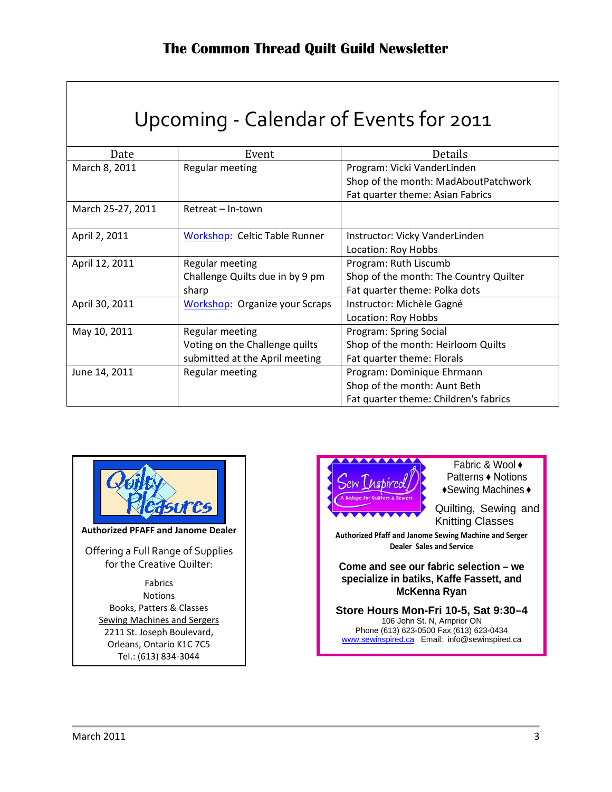<span id="page-2-0"></span>

| Upcoming - Calendar of Events for 2011 |                                       |                                                                     |  |
|----------------------------------------|---------------------------------------|---------------------------------------------------------------------|--|
| Date                                   | Event                                 | Details                                                             |  |
| March 8, 2011                          | Regular meeting                       | Program: Vicki VanderLinden<br>Shop of the month: MadAboutPatchwork |  |
|                                        |                                       | Fat quarter theme: Asian Fabrics                                    |  |
| March 25-27, 2011                      | Retreat – In-town                     |                                                                     |  |
| April 2, 2011                          | <b>Workshop: Celtic Table Runner</b>  | Instructor: Vicky VanderLinden                                      |  |
|                                        |                                       | Location: Roy Hobbs                                                 |  |
| April 12, 2011                         | Regular meeting                       | Program: Ruth Liscumb                                               |  |
|                                        | Challenge Quilts due in by 9 pm       | Shop of the month: The Country Quilter                              |  |
|                                        | sharp                                 | Fat quarter theme: Polka dots                                       |  |
| April 30, 2011                         | <b>Workshop: Organize your Scraps</b> | Instructor: Michèle Gagné                                           |  |
|                                        |                                       | Location: Roy Hobbs                                                 |  |
| May 10, 2011                           | Regular meeting                       | Program: Spring Social                                              |  |
|                                        | Voting on the Challenge quilts        | Shop of the month: Heirloom Quilts                                  |  |
|                                        | submitted at the April meeting        | Fat quarter theme: Florals                                          |  |
| June 14, 2011                          | Regular meeting                       | Program: Dominique Ehrmann                                          |  |
|                                        |                                       | Shop of the month: Aunt Beth                                        |  |
|                                        |                                       | Fat quarter theme: Children's fabrics                               |  |



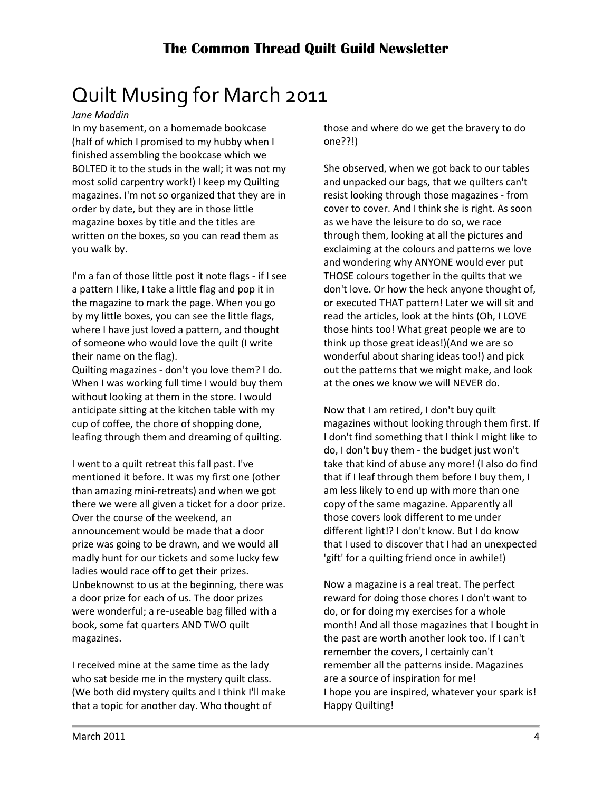# <span id="page-3-0"></span>Quilt Musing for March 2011

#### *Jane Maddin*

In my basement, on a homemade bookcase (half of which I promised to my hubby when I finished assembling the bookcase which we BOLTED it to the studs in the wall; it was not my most solid carpentry work!) I keep my Quilting magazines. I'm not so organized that they are in order by date, but they are in those little magazine boxes by title and the titles are written on the boxes, so you can read them as you walk by.

I'm a fan of those little post it note flags - if I see a pattern I like, I take a little flag and pop it in the magazine to mark the page. When you go by my little boxes, you can see the little flags, where I have just loved a pattern, and thought of someone who would love the quilt (I write their name on the flag).

Quilting magazines - don't you love them? I do. When I was working full time I would buy them without looking at them in the store. I would anticipate sitting at the kitchen table with my cup of coffee, the chore of shopping done, leafing through them and dreaming of quilting.

I went to a quilt retreat this fall past. I've mentioned it before. It was my first one (other than amazing mini-retreats) and when we got there we were all given a ticket for a door prize. Over the course of the weekend, an announcement would be made that a door prize was going to be drawn, and we would all madly hunt for our tickets and some lucky few ladies would race off to get their prizes. Unbeknownst to us at the beginning, there was a door prize for each of us. The door prizes were wonderful; a re-useable bag filled with a book, some fat quarters AND TWO quilt magazines.

I received mine at the same time as the lady who sat beside me in the mystery quilt class. (We both did mystery quilts and I think I'll make that a topic for another day. Who thought of

those and where do we get the bravery to do one??!)

She observed, when we got back to our tables and unpacked our bags, that we quilters can't resist looking through those magazines - from cover to cover. And I think she is right. As soon as we have the leisure to do so, we race through them, looking at all the pictures and exclaiming at the colours and patterns we love and wondering why ANYONE would ever put THOSE colours together in the quilts that we don't love. Or how the heck anyone thought of, or executed THAT pattern! Later we will sit and read the articles, look at the hints (Oh, I LOVE those hints too! What great people we are to think up those great ideas!)(And we are so wonderful about sharing ideas too!) and pick out the patterns that we might make, and look at the ones we know we will NEVER do.

Now that I am retired, I don't buy quilt magazines without looking through them first. If I don't find something that I think I might like to do, I don't buy them - the budget just won't take that kind of abuse any more! (I also do find that if I leaf through them before I buy them, I am less likely to end up with more than one copy of the same magazine. Apparently all those covers look different to me under different light!? I don't know. But I do know that I used to discover that I had an unexpected 'gift' for a quilting friend once in awhile!)

Now a magazine is a real treat. The perfect reward for doing those chores I don't want to do, or for doing my exercises for a whole month! And all those magazines that I bought in the past are worth another look too. If I can't remember the covers, I certainly can't remember all the patterns inside. Magazines are a source of inspiration for me! I hope you are inspired, whatever your spark is! Happy Quilting!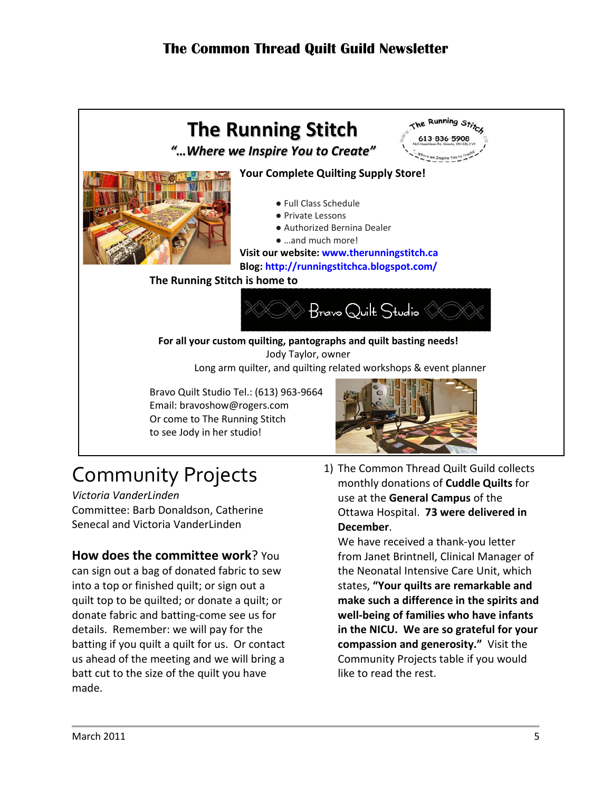

# <span id="page-4-0"></span>Community Projects

*Victoria VanderLinden* Committee: Barb Donaldson, Catherine Senecal and Victoria VanderLinden

### **How does the committee work**? You

can sign out a bag of donated fabric to sew into a top or finished quilt; or sign out a quilt top to be quilted; or donate a quilt; or donate fabric and batting-come see us for details. Remember: we will pay for the batting if you quilt a quilt for us. Or contact us ahead of the meeting and we will bring a batt cut to the size of the quilt you have made.

1) The Common Thread Quilt Guild collects monthly donations of **Cuddle Quilts** for use at the **General Campus** of the Ottawa Hospital. **73 were delivered in December**.

We have received a thank-you letter from Janet Brintnell, Clinical Manager of the Neonatal Intensive Care Unit, which states, **"Your quilts are remarkable and make such a difference in the spirits and well-being of families who have infants in the NICU. We are so grateful for your compassion and generosity."** Visit the Community Projects table if you would like to read the rest.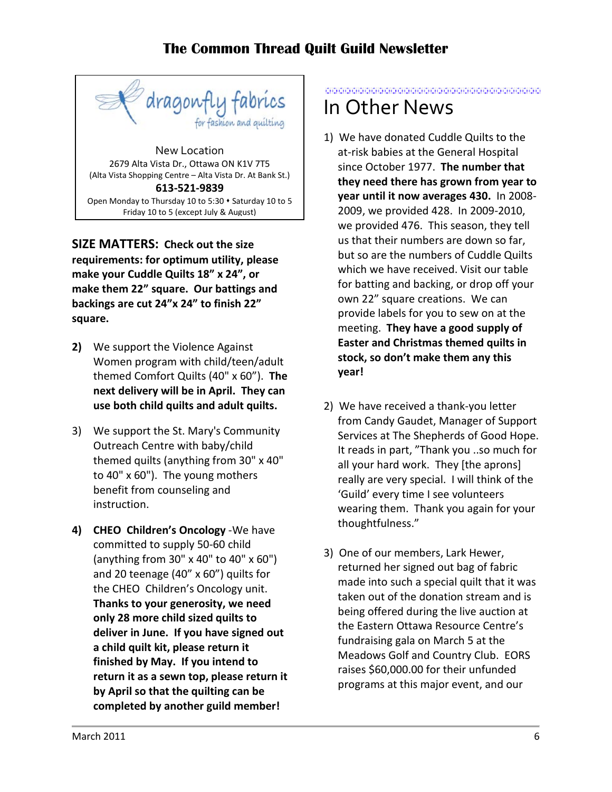

Open Monday to Thursday 10 to 5:30  $\cdot$  Saturday 10 to 5 Friday 10 to 5 (except July & August)

**SIZE MATTERS: Check out the size requirements: for optimum utility, please make your Cuddle Quilts 18" x 24", or make them 22" square. Our battings and backings are cut 24"x 24" to finish 22" square.**

- **2)** We support the Violence Against Women program with child/teen/adult themed Comfort Quilts (40" x 60"). **The next delivery will be in April. They can use both child quilts and adult quilts.**
- 3) We support the St. Mary's Community Outreach Centre with baby/child themed quilts (anything from 30" x 40" to 40" x 60"). The young mothers benefit from counseling and instruction.
- **4) CHEO Children's Oncology** -We have committed to supply 50-60 child (anything from 30" x 40" to 40" x 60") and 20 teenage (40" x 60") quilts for the CHEO Children's Oncology unit. **Thanks to your generosity, we need only 28 more child sized quilts to deliver in June. If you have signed out a child quilt kit, please return it finished by May. If you intend to return it as a sewn top, please return it by April so that the quilting can be completed by another guild member!**

### <span id="page-5-0"></span>in die begin die der der begin die begin die begin die begin die begin die begin die begin die begin die begin In Other News

- 1) We have donated Cuddle Quilts to the at-risk babies at the General Hospital since October 1977. **The number that they need there has grown from year to year until it now averages 430.** In 2008- 2009, we provided 428. In 2009-2010, we provided 476. This season, they tell us that their numbers are down so far, but so are the numbers of Cuddle Quilts which we have received. Visit our table for batting and backing, or drop off your own 22" square creations. We can provide labels for you to sew on at the meeting. **They have a good supply of Easter and Christmas themed quilts in stock, so don't make them any this year!**
- 2) We have received a thank-you letter from Candy Gaudet, Manager of Support Services at The Shepherds of Good Hope. It reads in part, "Thank you ..so much for all your hard work. They [the aprons] really are very special. I will think of the 'Guild' every time I see volunteers wearing them. Thank you again for your thoughtfulness."
- 3) One of our members, Lark Hewer, returned her signed out bag of fabric made into such a special quilt that it was taken out of the donation stream and is being offered during the live auction at the Eastern Ottawa Resource Centre's fundraising gala on March 5 at the Meadows Golf and Country Club. EORS raises \$60,000.00 for their unfunded programs at this major event, and our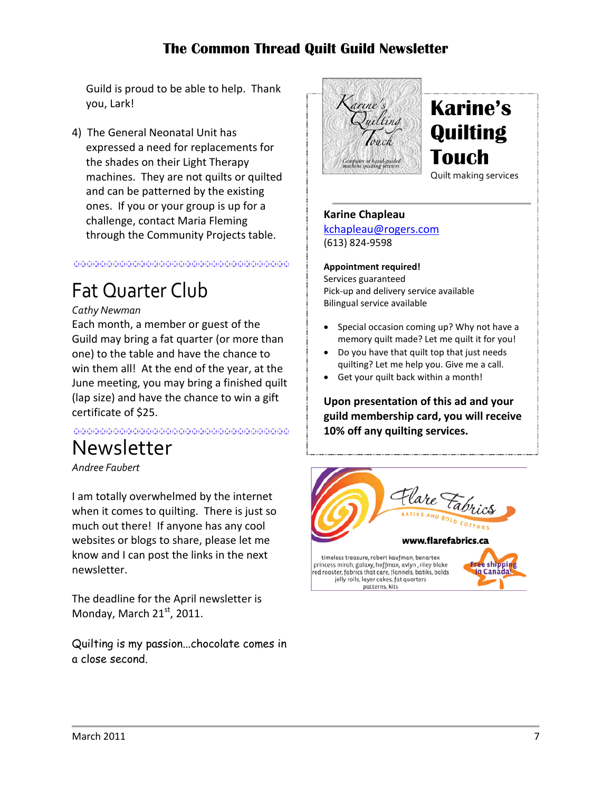Guild is proud to be able to help. Thank you, Lark!

4) The General Neonatal Unit has expressed a need for replacements for the shades on their Light Therapy machines. They are not quilts or quilted and can be patterned by the existing ones. If you or your group is up for a challenge, contact Maria Fleming through the Community Projects table.

#### 

## <span id="page-6-0"></span>Fat Quarter Club

#### *Cathy Newman*

Each month, a member or guest of the Guild may bring a fat quarter (or more than one) to the table and have the chance to win them all! At the end of the year, at the June meeting, you may bring a finished quilt (lap size) and have the chance to win a gift certificate of \$25.

in din dia kaominina mpakambana ny kaominina mpakambana amin'ny fivondronan-kaominina mpakambana ny kaominina<br>I Paolina ny kaodim-paositra 2008–2014. Ilay kaominina dia kaominina mpikambana amin'ny fivondronan-kaominin'i<br>I

## <span id="page-6-1"></span>Newsletter

*Andree Faubert*

I am totally overwhelmed by the internet when it comes to quilting. There is just so much out there! If anyone has any cool websites or blogs to share, please let me know and I can post the links in the next newsletter.

The deadline for the April newsletter is Monday, March  $21<sup>st</sup>$ , 2011.

Quilting is my passion...chocolate comes in a close second.



## **Karine's Quilting Touch**

Quilt making services

#### **Karine Chapleau**

[kchapleau@rogers.com](mailto:kchapleau@rogers.com) (613) 824-9598

#### **Appointment required!**

Services guaranteed Pick-up and delivery service available Bilingual service available

- Special occasion coming up? Why not have a memory quilt made? Let me quilt it for you!
- Do you have that quilt top that just needs quilting? Let me help you. Give me a call.
- Get your quilt back within a month!

**Upon presentation of this ad and your guild membership card, you will receive 10% off any quilting services.**

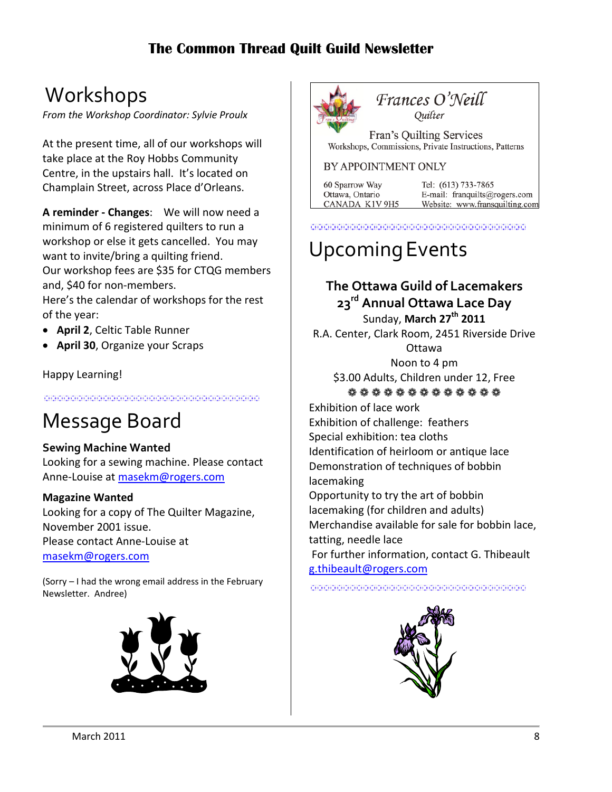## <span id="page-7-0"></span>Workshops

*From the Workshop Coordinator: Sylvie Proulx*

At the present time, all of our workshops will take place at the Roy Hobbs Community Centre, in the upstairs hall. It's located on Champlain Street, across Place d'Orleans.

**A reminder - Changes**: We will now need a minimum of 6 registered quilters to run a workshop or else it gets cancelled. You may want to invite/bring a quilting friend. Our workshop fees are \$35 for CTQG members and, \$40 for non-members.

Here's the calendar of workshops for the rest of the year:

- **April 2**, Celtic Table Runner
- **April 30**, Organize your Scraps

#### Happy Learning!

<u> 1988 - 1988 - 1988 - 1989 - 1989 - 1989 - 1989 - 1989 - 1989 - 1989 - 1989 - 1989 - 1989 - 1989 - 1989 - 198</u>

## <span id="page-7-1"></span>Message Board

#### **Sewing Machine Wanted**

Looking for a sewing machine. Please contact Anne-Louise at [masekm@rogers.com](mailto:masekm@rogers.com)

#### **Magazine Wanted**

Looking for a copy of The Quilter Magazine, November 2001 issue. Please contact Anne-Louise at [masekm@rogers.com](mailto:masekm@rogers.com)

(Sorry – I had the wrong email address in the February Newsletter. Andree)





Frances O'Neill Ouilter

Fran's Quilting Services Workshops, Commissions, Private Instructions, Patterns

#### BY APPOINTMENT ONLY

60 Sparrow Way Ottawa, Ontario CANADA K1V 9H5

Tel: (613) 733-7865 E-mail: franquilts@rogers.com Website: www.fransquilting.com

<span id="page-7-2"></span>

# UpcomingEvents

### **The Ottawa Guild of Lacemakers 23rd Annual Ottawa Lace Day** Sunday, **March 27th 2011**

R.A. Center, Clark Room, 2451 Riverside Drive **Ottawa** 

Noon to 4 pm \$3.00 Adults, Children under 12, Free ❁❁❁❁❁❁❁❁❁❁❁❁❁

Exhibition of lace work Exhibition of challenge: feathers Special exhibition: tea cloths Identification of heirloom or antique lace Demonstration of techniques of bobbin lacemaking Opportunity to try the art of bobbin lacemaking (for children and adults) Merchandise available for sale for bobbin lace, tatting, needle lace For further information, contact G. Thibeault [g.thibeault@rogers.com](http://ca.mc656.mail.yahoo.com/mc/compose?to=g.thibeault@rogers.com)